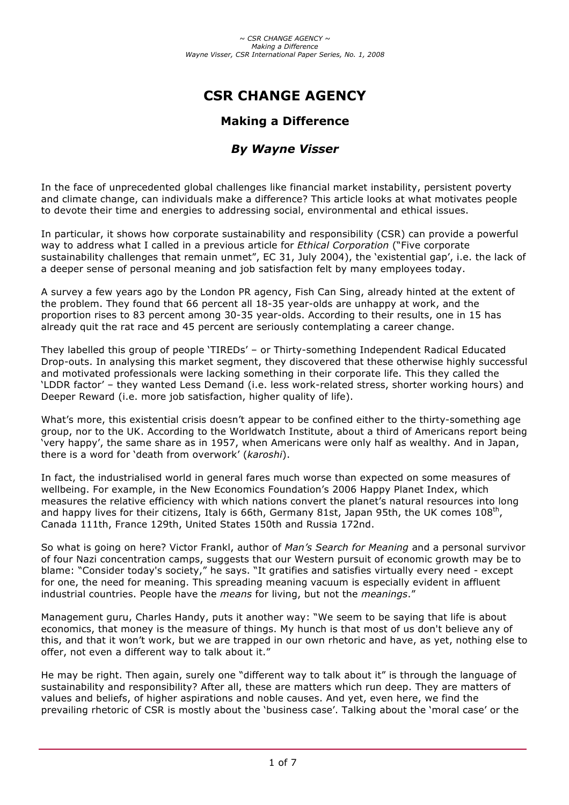# **CSR CHANGE AGENCY**

## **Making a Difference**

## *By Wayne Visser*

In the face of unprecedented global challenges like financial market instability, persistent poverty and climate change, can individuals make a difference? This article looks at what motivates people to devote their time and energies to addressing social, environmental and ethical issues.

In particular, it shows how corporate sustainability and responsibility (CSR) can provide a powerful way to address what I called in a previous article for *Ethical Corporation* ("Five corporate sustainability challenges that remain unmet", EC 31, July 2004), the 'existential gap', i.e. the lack of a deeper sense of personal meaning and job satisfaction felt by many employees today.

A survey a few years ago by the London PR agency, Fish Can Sing, already hinted at the extent of the problem. They found that 66 percent all 18-35 year-olds are unhappy at work, and the proportion rises to 83 percent among 30-35 year-olds. According to their results, one in 15 has already quit the rat race and 45 percent are seriously contemplating a career change.

They labelled this group of people 'TIREDs' – or Thirty-something Independent Radical Educated Drop-outs. In analysing this market segment, they discovered that these otherwise highly successful and motivated professionals were lacking something in their corporate life. This they called the 'LDDR factor' – they wanted Less Demand (i.e. less work-related stress, shorter working hours) and Deeper Reward (i.e. more job satisfaction, higher quality of life).

What's more, this existential crisis doesn't appear to be confined either to the thirty-something age group, nor to the UK. According to the Worldwatch Institute, about a third of Americans report being 'very happy', the same share as in 1957, when Americans were only half as wealthy. And in Japan, there is a word for 'death from overwork' (*karoshi*).

In fact, the industrialised world in general fares much worse than expected on some measures of wellbeing. For example, in the New Economics Foundation's 2006 Happy Planet Index, which measures the relative efficiency with which nations convert the planet's natural resources into long and happy lives for their citizens, Italy is 66th, Germany 81st, Japan 95th, the UK comes  $108<sup>th</sup>$ , Canada 111th, France 129th, United States 150th and Russia 172nd.

So what is going on here? Victor Frankl, author of *Man's Search for Meaning* and a personal survivor of four Nazi concentration camps, suggests that our Western pursuit of economic growth may be to blame: "Consider today's society," he says. "It gratifies and satisfies virtually every need - except for one, the need for meaning. This spreading meaning vacuum is especially evident in affluent industrial countries. People have the *means* for living, but not the *meanings*."

Management guru, Charles Handy, puts it another way: "We seem to be saying that life is about economics, that money is the measure of things. My hunch is that most of us don't believe any of this, and that it won't work, but we are trapped in our own rhetoric and have, as yet, nothing else to offer, not even a different way to talk about it."

He may be right. Then again, surely one "different way to talk about it" is through the language of sustainability and responsibility? After all, these are matters which run deep. They are matters of values and beliefs, of higher aspirations and noble causes. And yet, even here, we find the prevailing rhetoric of CSR is mostly about the 'business case'. Talking about the 'moral case' or the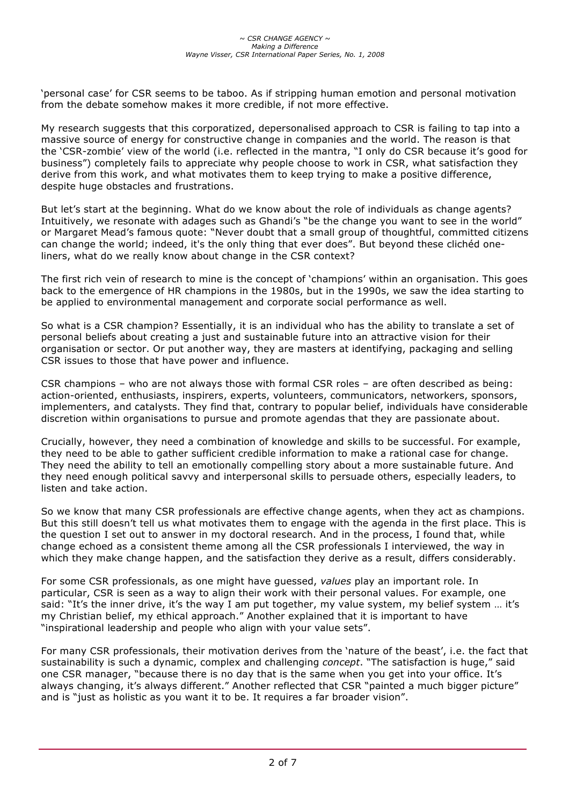'personal case' for CSR seems to be taboo. As if stripping human emotion and personal motivation from the debate somehow makes it more credible, if not more effective.

My research suggests that this corporatized, depersonalised approach to CSR is failing to tap into a massive source of energy for constructive change in companies and the world. The reason is that the 'CSR-zombie' view of the world (i.e. reflected in the mantra, "I only do CSR because it's good for business") completely fails to appreciate why people choose to work in CSR, what satisfaction they derive from this work, and what motivates them to keep trying to make a positive difference, despite huge obstacles and frustrations.

But let's start at the beginning. What do we know about the role of individuals as change agents? Intuitively, we resonate with adages such as Ghandi's "be the change you want to see in the world" or Margaret Mead's famous quote: "Never doubt that a small group of thoughtful, committed citizens can change the world; indeed, it's the only thing that ever does". But beyond these clichéd oneliners, what do we really know about change in the CSR context?

The first rich vein of research to mine is the concept of 'champions' within an organisation. This goes back to the emergence of HR champions in the 1980s, but in the 1990s, we saw the idea starting to be applied to environmental management and corporate social performance as well.

So what is a CSR champion? Essentially, it is an individual who has the ability to translate a set of personal beliefs about creating a just and sustainable future into an attractive vision for their organisation or sector. Or put another way, they are masters at identifying, packaging and selling CSR issues to those that have power and influence.

CSR champions – who are not always those with formal CSR roles – are often described as being: action-oriented, enthusiasts, inspirers, experts, volunteers, communicators, networkers, sponsors, implementers, and catalysts. They find that, contrary to popular belief, individuals have considerable discretion within organisations to pursue and promote agendas that they are passionate about.

Crucially, however, they need a combination of knowledge and skills to be successful. For example, they need to be able to gather sufficient credible information to make a rational case for change. They need the ability to tell an emotionally compelling story about a more sustainable future. And they need enough political savvy and interpersonal skills to persuade others, especially leaders, to listen and take action.

So we know that many CSR professionals are effective change agents, when they act as champions. But this still doesn't tell us what motivates them to engage with the agenda in the first place. This is the question I set out to answer in my doctoral research. And in the process, I found that, while change echoed as a consistent theme among all the CSR professionals I interviewed, the way in which they make change happen, and the satisfaction they derive as a result, differs considerably.

For some CSR professionals, as one might have guessed, *values* play an important role. In particular, CSR is seen as a way to align their work with their personal values. For example, one said: "It's the inner drive, it's the way I am put together, my value system, my belief system … it's my Christian belief, my ethical approach." Another explained that it is important to have "inspirational leadership and people who align with your value sets".

For many CSR professionals, their motivation derives from the 'nature of the beast', i.e. the fact that sustainability is such a dynamic, complex and challenging *concept*. "The satisfaction is huge," said one CSR manager, "because there is no day that is the same when you get into your office. It's always changing, it's always different." Another reflected that CSR "painted a much bigger picture" and is "just as holistic as you want it to be. It requires a far broader vision".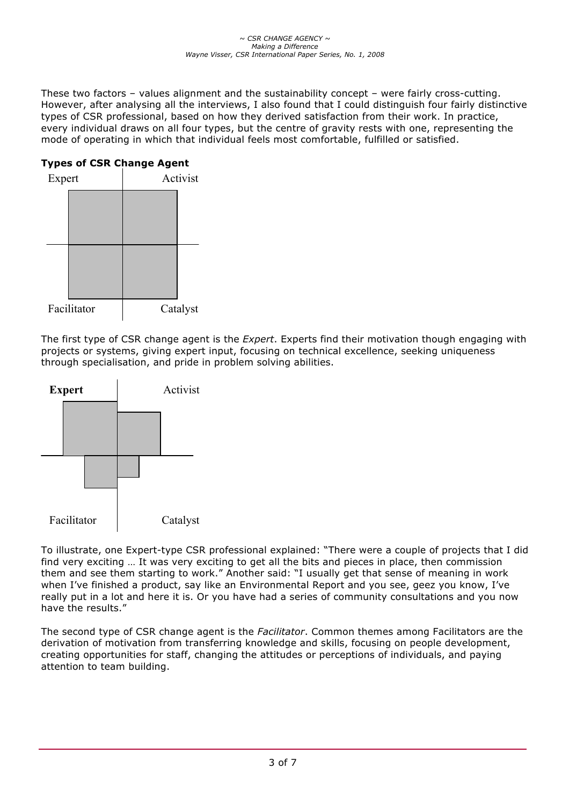These two factors – values alignment and the sustainability concept – were fairly cross-cutting. However, after analysing all the interviews, I also found that I could distinguish four fairly distinctive types of CSR professional, based on how they derived satisfaction from their work. In practice, every individual draws on all four types, but the centre of gravity rests with one, representing the mode of operating in which that individual feels most comfortable, fulfilled or satisfied.

## **Types of CSR Change Agent**



The first type of CSR change agent is the *Expert*. Experts find their motivation though engaging with projects or systems, giving expert input, focusing on technical excellence, seeking uniqueness through specialisation, and pride in problem solving abilities.



To illustrate, one Expert-type CSR professional explained: "There were a couple of projects that I did find very exciting … It was very exciting to get all the bits and pieces in place, then commission them and see them starting to work." Another said: "I usually get that sense of meaning in work when I've finished a product, say like an Environmental Report and you see, geez you know, I've really put in a lot and here it is. Or you have had a series of community consultations and you now have the results."

The second type of CSR change agent is the *Facilitator*. Common themes among Facilitators are the derivation of motivation from transferring knowledge and skills, focusing on people development, creating opportunities for staff, changing the attitudes or perceptions of individuals, and paying attention to team building.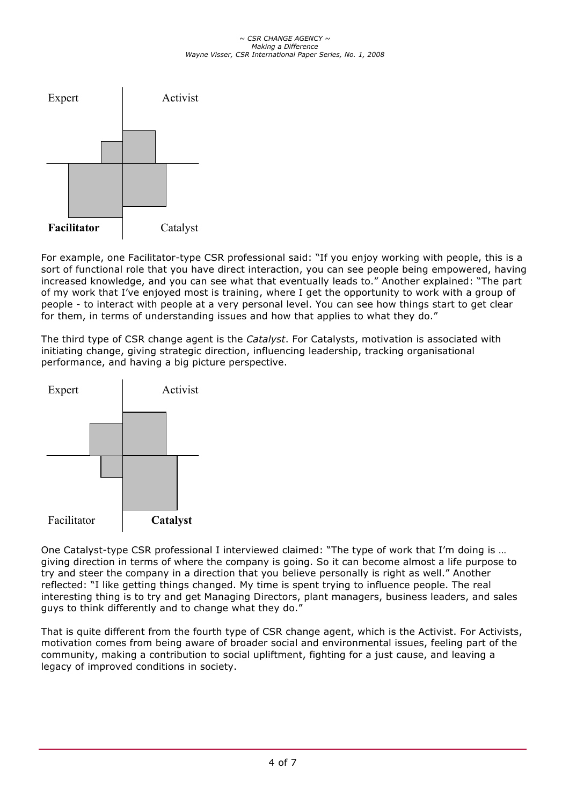#### *~ CSR CHANGE AGENCY ~ Making a Difference Wayne Visser, CSR International Paper Series, No. 1, 2008*



For example, one Facilitator-type CSR professional said: "If you enjoy working with people, this is a sort of functional role that you have direct interaction, you can see people being empowered, having increased knowledge, and you can see what that eventually leads to." Another explained: "The part of my work that I've enjoyed most is training, where I get the opportunity to work with a group of people - to interact with people at a very personal level. You can see how things start to get clear for them, in terms of understanding issues and how that applies to what they do."

The third type of CSR change agent is the *Catalyst*. For Catalysts, motivation is associated with initiating change, giving strategic direction, influencing leadership, tracking organisational performance, and having a big picture perspective.



One Catalyst-type CSR professional I interviewed claimed: "The type of work that I'm doing is … giving direction in terms of where the company is going. So it can become almost a life purpose to try and steer the company in a direction that you believe personally is right as well." Another reflected: "I like getting things changed. My time is spent trying to influence people. The real interesting thing is to try and get Managing Directors, plant managers, business leaders, and sales guys to think differently and to change what they do."

That is quite different from the fourth type of CSR change agent, which is the Activist. For Activists, motivation comes from being aware of broader social and environmental issues, feeling part of the community, making a contribution to social upliftment, fighting for a just cause, and leaving a legacy of improved conditions in society.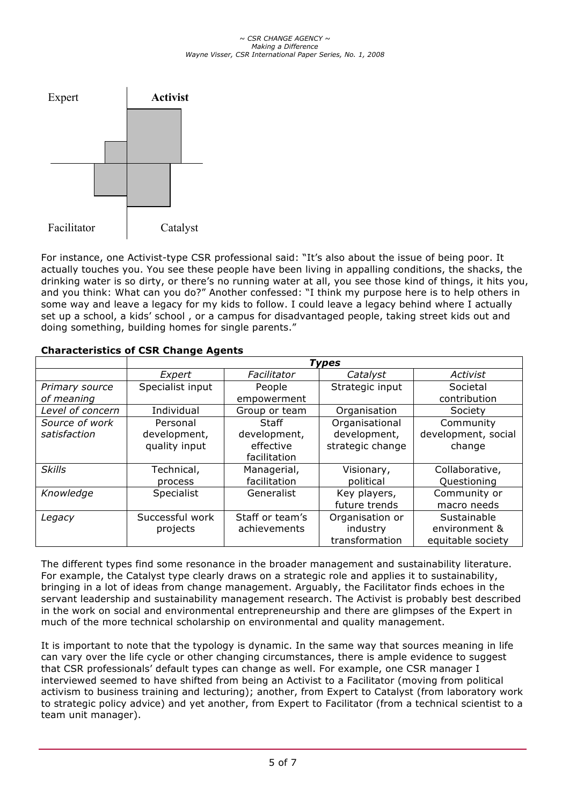#### *~ CSR CHANGE AGENCY ~ Making a Difference Wayne Visser, CSR International Paper Series, No. 1, 2008*



For instance, one Activist-type CSR professional said: "It's also about the issue of being poor. It actually touches you. You see these people have been living in appalling conditions, the shacks, the drinking water is so dirty, or there's no running water at all, you see those kind of things, it hits you, and you think: What can you do?" Another confessed: "I think my purpose here is to help others in some way and leave a legacy for my kids to follow. I could leave a legacy behind where I actually set up a school, a kids' school , or a campus for disadvantaged people, taking street kids out and doing something, building homes for single parents."

|                  | <b>Types</b>     |                 |                  |                     |
|------------------|------------------|-----------------|------------------|---------------------|
|                  | Expert           | Facilitator     | Catalyst         | Activist            |
| Primary source   | Specialist input | People          | Strategic input  | Societal            |
| of meaning       |                  | empowerment     |                  | contribution        |
| Level of concern | Individual       | Group or team   | Organisation     | Society             |
| Source of work   | Personal         | Staff           | Organisational   | Community           |
| satisfaction     | development,     | development,    | development,     | development, social |
|                  | quality input    | effective       | strategic change | change              |
|                  |                  | facilitation    |                  |                     |
| <b>Skills</b>    | Technical,       | Managerial,     | Visionary,       | Collaborative,      |
|                  | process          | facilitation    | political        | Questioning         |
| Knowledge        | Specialist       | Generalist      | Key players,     | Community or        |
|                  |                  |                 | future trends    | macro needs         |
| Legacy           | Successful work  | Staff or team's | Organisation or  | Sustainable         |
|                  | projects         | achievements    | industry         | environment &       |
|                  |                  |                 | transformation   | equitable society   |

## **Characteristics of CSR Change Agents**

The different types find some resonance in the broader management and sustainability literature. For example, the Catalyst type clearly draws on a strategic role and applies it to sustainability, bringing in a lot of ideas from change management. Arguably, the Facilitator finds echoes in the servant leadership and sustainability management research. The Activist is probably best described in the work on social and environmental entrepreneurship and there are glimpses of the Expert in much of the more technical scholarship on environmental and quality management.

It is important to note that the typology is dynamic. In the same way that sources meaning in life can vary over the life cycle or other changing circumstances, there is ample evidence to suggest that CSR professionals' default types can change as well. For example, one CSR manager I interviewed seemed to have shifted from being an Activist to a Facilitator (moving from political activism to business training and lecturing); another, from Expert to Catalyst (from laboratory work to strategic policy advice) and yet another, from Expert to Facilitator (from a technical scientist to a team unit manager).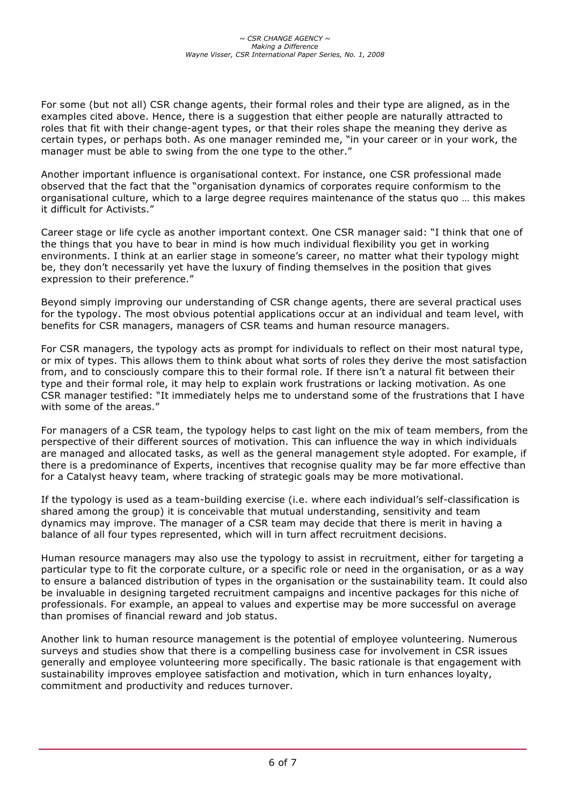For some (but not all) CSR change agents, their formal roles and their type are aligned, as in the examples cited above. Hence, there is a suggestion that either people are naturally attracted to roles that fit with their change-agent types, or that their roles shape the meaning they derive as certain types, or perhaps both. As one manager reminded me, "in your career or in your work, the manager must be able to swing from the one type to the other."

Another important influence is organisational context. For instance, one CSR professional made observed that the fact that the "organisation dynamics of corporates require conformism to the organisational culture, which to a large degree requires maintenance of the status quo … this makes it difficult for Activists."

Career stage or life cycle as another important context. One CSR manager said: "I think that one of the things that you have to bear in mind is how much individual flexibility you get in working environments. I think at an earlier stage in someone's career, no matter what their typology might be, they don't necessarily yet have the luxury of finding themselves in the position that gives expression to their preference."

Beyond simply improving our understanding of CSR change agents, there are several practical uses for the typology. The most obvious potential applications occur at an individual and team level, with benefits for CSR managers, managers of CSR teams and human resource managers.

For CSR managers, the typology acts as prompt for individuals to reflect on their most natural type, or mix of types. This allows them to think about what sorts of roles they derive the most satisfaction from, and to consciously compare this to their formal role. If there isn't a natural fit between their type and their formal role, it may help to explain work frustrations or lacking motivation. As one CSR manager testified: "It immediately helps me to understand some of the frustrations that I have with some of the areas."

For managers of a CSR team, the typology helps to cast light on the mix of team members, from the perspective of their different sources of motivation. This can influence the way in which individuals are managed and allocated tasks, as well as the general management style adopted. For example, if there is a predominance of Experts, incentives that recognise quality may be far more effective than for a Catalyst heavy team, where tracking of strategic goals may be more motivational.

If the typology is used as a team-building exercise (i.e. where each individual's self-classification is shared among the group) it is conceivable that mutual understanding, sensitivity and team dynamics may improve. The manager of a CSR team may decide that there is merit in having a balance of all four types represented, which will in turn affect recruitment decisions.

Human resource managers may also use the typology to assist in recruitment, either for targeting a particular type to fit the corporate culture, or a specific role or need in the organisation, or as a way to ensure a balanced distribution of types in the organisation or the sustainability team. It could also be invaluable in designing targeted recruitment campaigns and incentive packages for this niche of professionals. For example, an appeal to values and expertise may be more successful on average than promises of financial reward and job status.

Another link to human resource management is the potential of employee volunteering. Numerous surveys and studies show that there is a compelling business case for involvement in CSR issues generally and employee volunteering more specifically. The basic rationale is that engagement with sustainability improves employee satisfaction and motivation, which in turn enhances loyalty, commitment and productivity and reduces turnover.